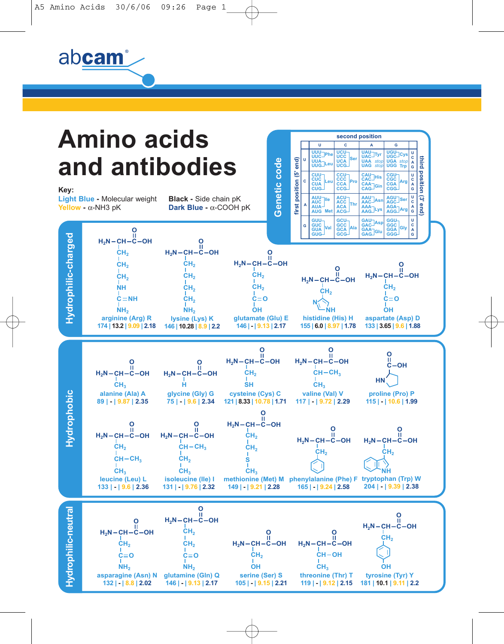abcam®